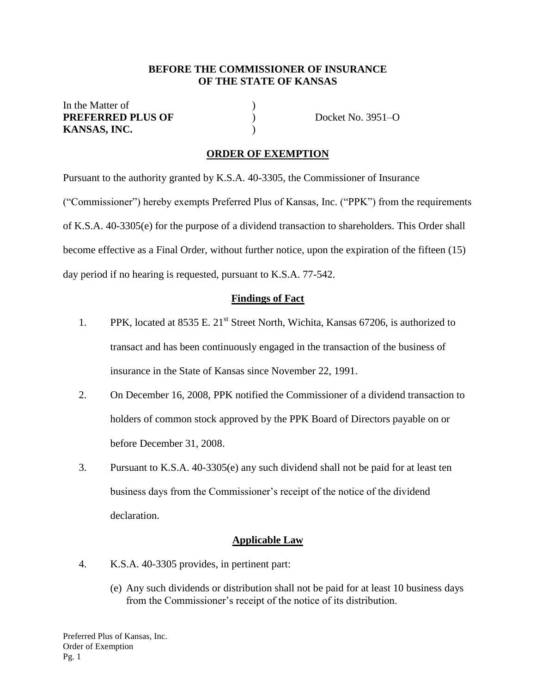### **BEFORE THE COMMISSIONER OF INSURANCE OF THE STATE OF KANSAS**

| In the Matter of         |                   |
|--------------------------|-------------------|
| <b>PREFERRED PLUS OF</b> | Docket No. 3951–O |
| KANSAS, INC.             |                   |

### **ORDER OF EXEMPTION**

Pursuant to the authority granted by K.S.A. 40-3305, the Commissioner of Insurance ("Commissioner") hereby exempts Preferred Plus of Kansas, Inc. ("PPK") from the requirements of K.S.A. 40-3305(e) for the purpose of a dividend transaction to shareholders. This Order shall become effective as a Final Order, without further notice, upon the expiration of the fifteen (15) day period if no hearing is requested, pursuant to K.S.A. 77-542.

### **Findings of Fact**

- 1. PPK, located at 8535 E.  $21^{st}$  Street North, Wichita, Kansas 67206, is authorized to transact and has been continuously engaged in the transaction of the business of insurance in the State of Kansas since November 22, 1991.
- 2. On December 16, 2008, PPK notified the Commissioner of a dividend transaction to holders of common stock approved by the PPK Board of Directors payable on or before December 31, 2008.
- 3. Pursuant to K.S.A. 40-3305(e) any such dividend shall not be paid for at least ten business days from the Commissioner's receipt of the notice of the dividend declaration.

#### **Applicable Law**

- 4. K.S.A. 40-3305 provides, in pertinent part:
	- (e) Any such dividends or distribution shall not be paid for at least 10 business days from the Commissioner's receipt of the notice of its distribution.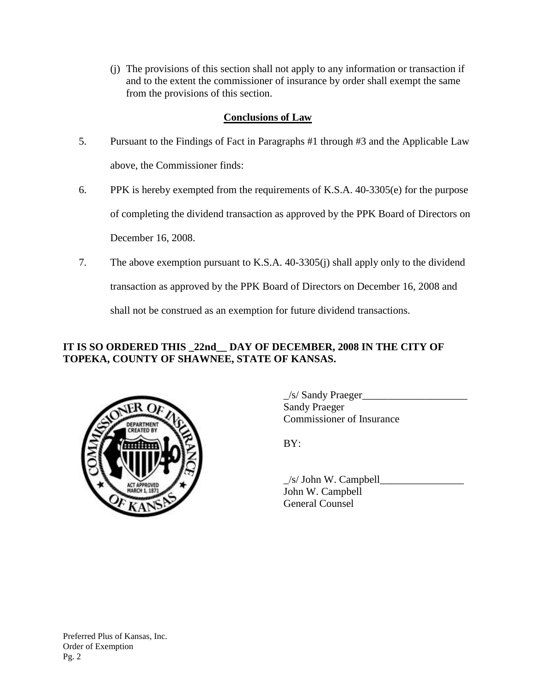(j) The provisions of this section shall not apply to any information or transaction if and to the extent the commissioner of insurance by order shall exempt the same from the provisions of this section.

## **Conclusions of Law**

- 5. Pursuant to the Findings of Fact in Paragraphs #1 through #3 and the Applicable Law above, the Commissioner finds:
- 6. PPK is hereby exempted from the requirements of K.S.A. 40-3305(e) for the purpose of completing the dividend transaction as approved by the PPK Board of Directors on December 16, 2008.
- 7. The above exemption pursuant to K.S.A. 40-3305(j) shall apply only to the dividend transaction as approved by the PPK Board of Directors on December 16, 2008 and shall not be construed as an exemption for future dividend transactions.

# **IT IS SO ORDERED THIS \_22nd\_\_ DAY OF DECEMBER, 2008 IN THE CITY OF TOPEKA, COUNTY OF SHAWNEE, STATE OF KANSAS.**



 $\angle$ s/ Sandy Praeger $\angle$ Sandy Praeger Commissioner of Insurance

BY:

 $\angle$ s/ John W. Campbell $\Box$ John W. Campbell General Counsel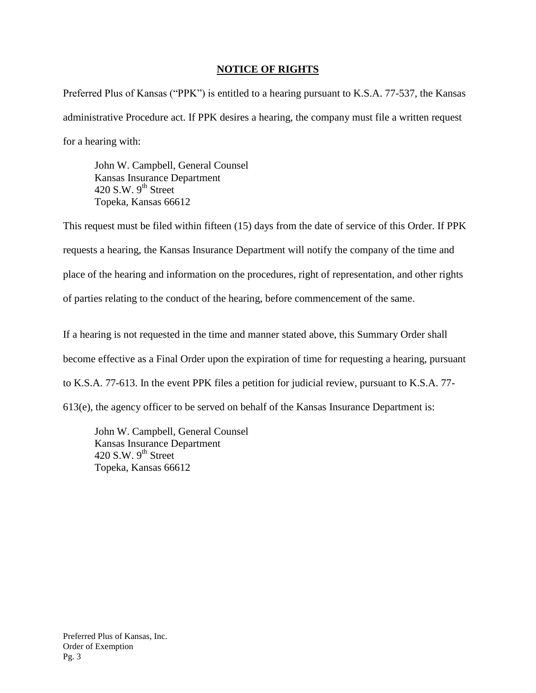### **NOTICE OF RIGHTS**

Preferred Plus of Kansas ("PPK") is entitled to a hearing pursuant to K.S.A. 77-537, the Kansas administrative Procedure act. If PPK desires a hearing, the company must file a written request for a hearing with:

John W. Campbell, General Counsel Kansas Insurance Department 420 S.W.  $9^{th}$  Street Topeka, Kansas 66612

This request must be filed within fifteen (15) days from the date of service of this Order. If PPK requests a hearing, the Kansas Insurance Department will notify the company of the time and place of the hearing and information on the procedures, right of representation, and other rights of parties relating to the conduct of the hearing, before commencement of the same.

If a hearing is not requested in the time and manner stated above, this Summary Order shall become effective as a Final Order upon the expiration of time for requesting a hearing, pursuant to K.S.A. 77-613. In the event PPK files a petition for judicial review, pursuant to K.S.A. 77- 613(e), the agency officer to be served on behalf of the Kansas Insurance Department is:

John W. Campbell, General Counsel Kansas Insurance Department 420 S.W.  $9^{th}$  Street Topeka, Kansas 66612